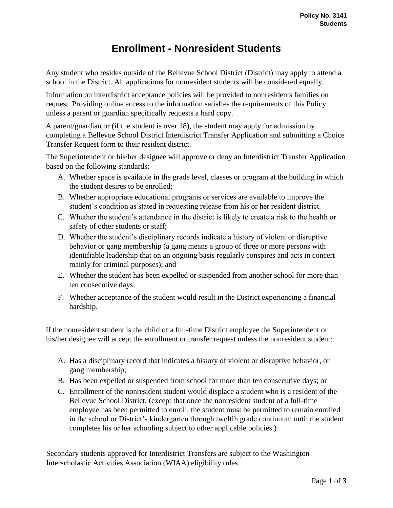## **Enrollment - Nonresident Students**

Any student who resides outside of the Bellevue School District (District) may apply to attend a school in the District. All applications for nonresident students will be considered equally.

Information on interdistrict acceptance policies will be provided to nonresidents families on request. Providing online access to the information satisfies the requirements of this Policy unless a parent or guardian specifically requests a hard copy.

A parent/guardian or (if the student is over 18), the student may apply for admission by completing a Bellevue School District Interdistrict Transfer Application and submitting a Choice Transfer Request form to their resident district.

The Superintendent or his/her designee will approve or deny an Interdistrict Transfer Application based on the following standards:

- A. Whether space is available in the grade level, classes or program at the building in which the student desires to be enrolled;
- B. Whether appropriate educational programs or services are available to improve the student's condition as stated in requesting release from his or her resident district.
- C. Whether the student's attendance in the district is likely to create a risk to the health or safety of other students or staff;
- D. Whether the student's disciplinary records indicate a history of violent or disruptive behavior or gang membership (a gang means a group of three or more persons with identifiable leadership that on an ongoing basis regularly conspires and acts in concert mainly for criminal purposes); and
- E. Whether the student has been expelled or suspended from another school for more than ten consecutive days;
- F. Whether acceptance of the student would result in the District experiencing a financial hardship.

If the nonresident student is the child of a full-time District employee the Superintendent or his/her designee will accept the enrollment or transfer request unless the nonresident student:

- A. Has a disciplinary record that indicates a history of violent or disruptive behavior, or gang membership;
- B. Has been expelled or suspended from school for more than ten consecutive days; or
- C. Enrollment of the nonresident student would displace a student who is a resident of the Bellevue School District, (except that once the nonresident student of a full-time employee has been permitted to enroll, the student must be permitted to remain enrolled in the school or District's kindergarten through twelfth grade continuum until the student completes his or her schooling subject to other applicable policies.)

Secondary students approved for Interdistrict Transfers are subject to the Washington Interscholastic Activities Association (WIAA) eligibility rules.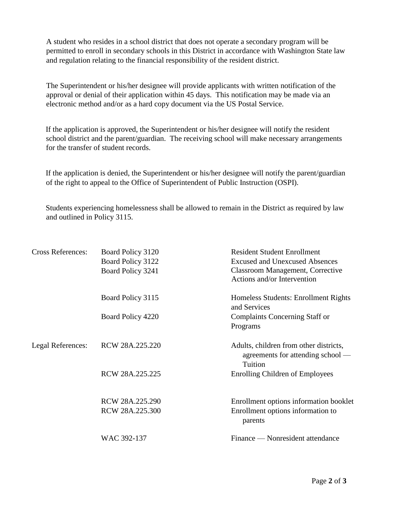A student who resides in a school district that does not operate a secondary program will be permitted to enroll in secondary schools in this District in accordance with Washington State law and regulation relating to the financial responsibility of the resident district.

The Superintendent or his/her designee will provide applicants with written notification of the approval or denial of their application within 45 days. This notification may be made via an electronic method and/or as a hard copy document via the US Postal Service.

If the application is approved, the Superintendent or his/her designee will notify the resident school district and the parent/guardian. The receiving school will make necessary arrangements for the transfer of student records.

If the application is denied, the Superintendent or his/her designee will notify the parent/guardian of the right to appeal to the Office of Superintendent of Public Instruction (OSPI).

Students experiencing homelessness shall be allowed to remain in the District as required by law and outlined in Policy 3115.

| <b>Cross References:</b> | Board Policy 3120 | <b>Resident Student Enrollment</b>                                                     |
|--------------------------|-------------------|----------------------------------------------------------------------------------------|
|                          | Board Policy 3122 | <b>Excused and Unexcused Absences</b>                                                  |
|                          | Board Policy 3241 | <b>Classroom Management, Corrective</b><br>Actions and/or Intervention                 |
|                          | Board Policy 3115 | Homeless Students: Enrollment Rights<br>and Services                                   |
|                          | Board Policy 4220 | Complaints Concerning Staff or                                                         |
|                          |                   | Programs                                                                               |
| Legal References:        | RCW 28A.225.220   | Adults, children from other districts,<br>agreements for attending school —<br>Tuition |
|                          | RCW 28A.225.225   | <b>Enrolling Children of Employees</b>                                                 |
|                          | RCW 28A.225.290   | Enrollment options information booklet                                                 |
|                          | RCW 28A.225.300   | Enrollment options information to<br>parents                                           |
|                          | WAC 392-137       | Finance — Nonresident attendance                                                       |